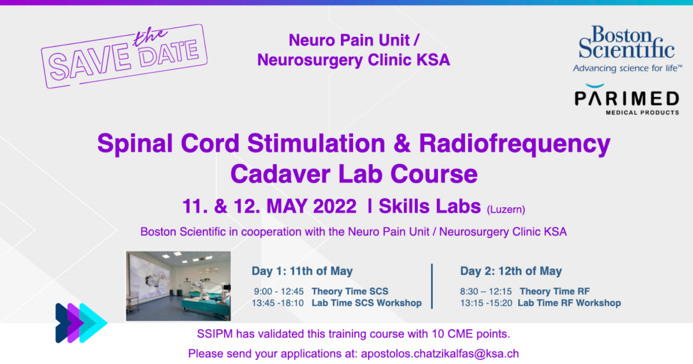

**Neuro Pain Unit / Neurosurgery Clinic KSA** 



PARIMED

# **Spinal Cord Stimulation & Radiofrequency Cadaver Lab Course 11. & 12. MAY 2022 | Skills Labs (Luzern)**

Boston Scientific in cooperation with the Neuro Pain Unit / Neurosurgery Clinic KSA



Day 1: 11th of May

9:00 - 12:45 Theory Time SCS 13:45 -18:10 Lab Time SCS Workshop Day 2: 12th of May

8:30 - 12:15 Theory Time RF 13:15 -15:20 Lab Time RF Workshop

SSIPM has validated this training course with 10 CME points. Please send your applications at: apostolos.chatzikalfas@ksa.ch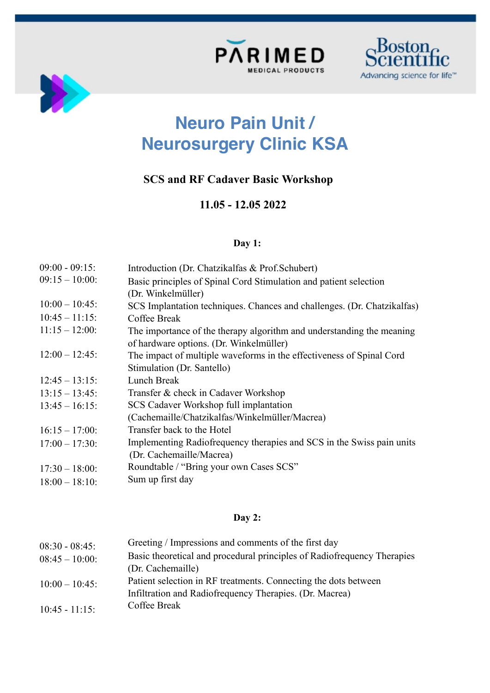





# **Neuro Pain Unit / Neurosurgery Clinic KSA**

## **SCS and RF Cadaver Basic Workshop**

### **11.05 - 12.05 2022**

#### **Day 1:**

| $09:00 - 09:15$ : | Introduction (Dr. Chatzikalfas & Prof. Schubert)                        |
|-------------------|-------------------------------------------------------------------------|
| $09:15 - 10:00$ : | Basic principles of Spinal Cord Stimulation and patient selection       |
|                   | (Dr. Winkelmüller)                                                      |
| $10:00 - 10:45$ : | SCS Implantation techniques. Chances and challenges. (Dr. Chatzikalfas) |
| $10:45 - 11:15$ : | Coffee Break                                                            |
| $11:15 - 12:00$ : | The importance of the therapy algorithm and understanding the meaning   |
|                   | of hardware options. (Dr. Winkelmüller)                                 |
| $12:00 - 12:45$ : | The impact of multiple waveforms in the effectiveness of Spinal Cord    |
|                   | Stimulation (Dr. Santello)                                              |
| $12:45 - 13:15$ : | Lunch Break                                                             |
| $13:15 - 13:45$ : | Transfer & check in Cadaver Workshop                                    |
| $13:45 - 16:15$   | SCS Cadaver Workshop full implantation                                  |
|                   | (Cachemaille/Chatzikalfas/Winkelmüller/Macrea)                          |
| $16:15 - 17:00$ : | Transfer back to the Hotel                                              |
| $17:00 - 17:30$ : | Implementing Radiofrequency therapies and SCS in the Swiss pain units   |
|                   | (Dr. Cachemaille/Macrea)                                                |
| $17:30 - 18:00$ : | Roundtable / "Bring your own Cases SCS"                                 |
| $18:00 - 18:10$   | Sum up first day                                                        |
|                   |                                                                         |

### **Day 2:**

| $08:30 - 08:45$ : | Greeting / Impressions and comments of the first day                    |
|-------------------|-------------------------------------------------------------------------|
| $08:45 - 10:00$ : | Basic theoretical and procedural principles of Radiofrequency Therapies |
|                   | (Dr. Cachemaille)                                                       |
| $10:00 - 10:45$   | Patient selection in RF treatments. Connecting the dots between         |
|                   | Infiltration and Radiofrequency Therapies. (Dr. Macrea)                 |
| $10:45 - 11:15$ : | Coffee Break                                                            |